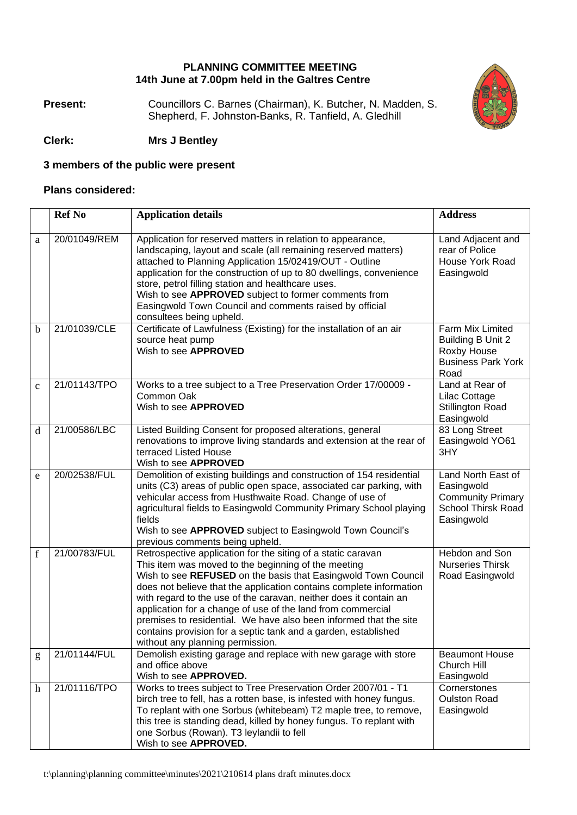## **PLANNING COMMITTEE MEETING 14th June at 7.00pm held in the Galtres Centre**

**Present:** Councillors C. Barnes (Chairman), K. Butcher, N. Madden, S. Shepherd, F. Johnston-Banks, R. Tanfield, A. Gledhill



## **Clerk: Mrs J Bentley**

## **3 members of the public were present**

## **Plans considered:**

|              | <b>Ref No</b> | <b>Application details</b>                                                                                                                                                                                                                                                                                                                                                                                                                                                                                                                                                 | <b>Address</b>                                                                                          |
|--------------|---------------|----------------------------------------------------------------------------------------------------------------------------------------------------------------------------------------------------------------------------------------------------------------------------------------------------------------------------------------------------------------------------------------------------------------------------------------------------------------------------------------------------------------------------------------------------------------------------|---------------------------------------------------------------------------------------------------------|
| a            | 20/01049/REM  | Application for reserved matters in relation to appearance,<br>landscaping, layout and scale (all remaining reserved matters)<br>attached to Planning Application 15/02419/OUT - Outline<br>application for the construction of up to 80 dwellings, convenience<br>store, petrol filling station and healthcare uses.<br>Wish to see APPROVED subject to former comments from<br>Easingwold Town Council and comments raised by official<br>consultees being upheld.                                                                                                       | Land Adjacent and<br>rear of Police<br>House York Road<br>Easingwold                                    |
| b            | 21/01039/CLE  | Certificate of Lawfulness (Existing) for the installation of an air<br>source heat pump<br>Wish to see APPROVED                                                                                                                                                                                                                                                                                                                                                                                                                                                            | Farm Mix Limited<br>Building B Unit 2<br>Roxby House<br><b>Business Park York</b><br>Road               |
| $\mathbf{C}$ | 21/01143/TPO  | Works to a tree subject to a Tree Preservation Order 17/00009 -<br>Common Oak<br>Wish to see APPROVED                                                                                                                                                                                                                                                                                                                                                                                                                                                                      | Land at Rear of<br>Lilac Cottage<br><b>Stillington Road</b><br>Easingwold                               |
| d            | 21/00586/LBC  | Listed Building Consent for proposed alterations, general<br>renovations to improve living standards and extension at the rear of<br>terraced Listed House<br>Wish to see APPROVED                                                                                                                                                                                                                                                                                                                                                                                         | 83 Long Street<br>Easingwold YO61<br>3HY                                                                |
| e            | 20/02538/FUL  | Demolition of existing buildings and construction of 154 residential<br>units (C3) areas of public open space, associated car parking, with<br>vehicular access from Husthwaite Road. Change of use of<br>agricultural fields to Easingwold Community Primary School playing<br>fields<br>Wish to see APPROVED subject to Easingwold Town Council's<br>previous comments being upheld.                                                                                                                                                                                     | Land North East of<br>Easingwold<br><b>Community Primary</b><br><b>School Thirsk Road</b><br>Easingwold |
| $\mathbf f$  | 21/00783/FUL  | Retrospective application for the siting of a static caravan<br>This item was moved to the beginning of the meeting<br>Wish to see REFUSED on the basis that Easingwold Town Council<br>does not believe that the application contains complete information<br>with regard to the use of the caravan, neither does it contain an<br>application for a change of use of the land from commercial<br>premises to residential. We have also been informed that the site<br>contains provision for a septic tank and a garden, established<br>without any planning permission. | Hebdon and Son<br><b>Nurseries Thirsk</b><br>Road Easingwold                                            |
| g            | 21/01144/FUL  | Demolish existing garage and replace with new garage with store<br>and office above<br>Wish to see APPROVED.                                                                                                                                                                                                                                                                                                                                                                                                                                                               | <b>Beaumont House</b><br>Church Hill<br>Easingwold                                                      |
| h            | 21/01116/TPO  | Works to trees subject to Tree Preservation Order 2007/01 - T1<br>birch tree to fell, has a rotten base, is infested with honey fungus.<br>To replant with one Sorbus (whitebeam) T2 maple tree, to remove,<br>this tree is standing dead, killed by honey fungus. To replant with<br>one Sorbus (Rowan). T3 leylandii to fell<br>Wish to see APPROVED.                                                                                                                                                                                                                    | Cornerstones<br><b>Oulston Road</b><br>Easingwold                                                       |